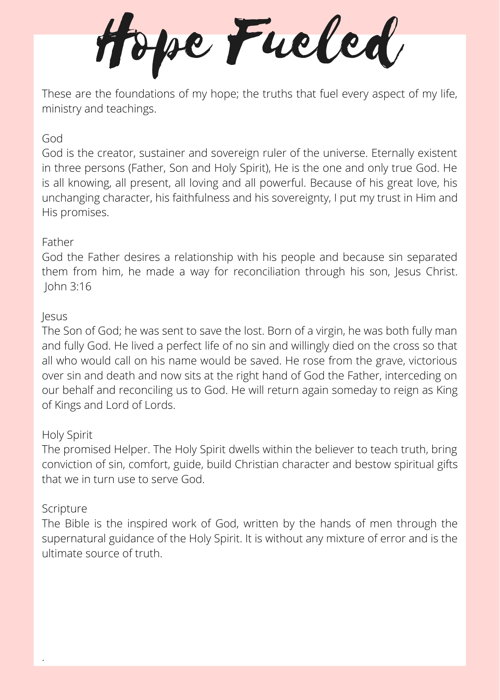Hope Fueled

These are the foundations of my hope; the truths that fuel every aspect of my life, ministry and teachings.

# God

God is the creator, sustainer and sovereign ruler of the universe. Eternally existent in three persons (Father, Son and Holy Spirit), He is the one and only true God. He is all knowing, all present, all loving and all powerful. Because of his great love, his unchanging character, his faithfulness and his sovereignty, I put my trust in Him and His promises.

## Father

God the Father desires a relationship with his people and because sin separated them from him, he made a way for reconciliation through his son, Jesus Christ. John 3:16

### Jesus

The Son of God; he was sent to save the lost. Born of a virgin, he was both fully man and fully God. He lived a perfect life of no sin and willingly died on the cross so that all who would call on his name would be saved. He rose from the grave, victorious over sin and death and now sits at the right hand of God the Father, interceding on our behalf and reconciling us to God. He will return again someday to reign as King of Kings and Lord of Lords.

### Holy Spirit

The promised Helper. The Holy Spirit dwells within the believer to teach truth, bring conviction of sin, comfort, guide, build Christian character and bestow spiritual gifts that we in turn use to serve God.

### Scripture

.

The Bible is the inspired work of God, written by the hands of men through the supernatural guidance of the Holy Spirit. It is without any mixture of error and is the ultimate source of truth.